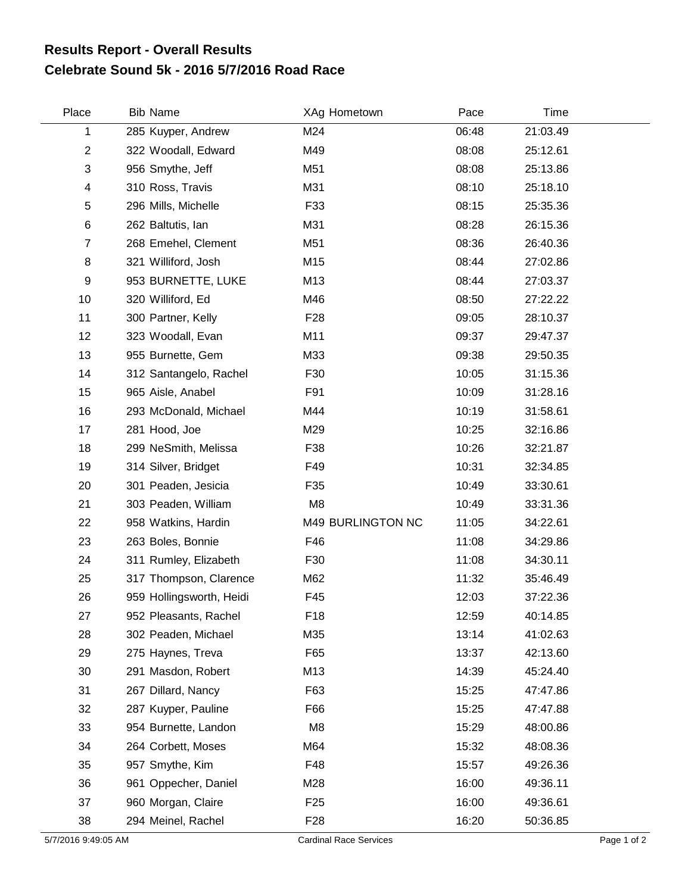## **Celebrate Sound 5k - 2016 5/7/2016 Road Race Results Report - Overall Results**

| Place          | <b>Bib Name</b>          | XAg Hometown      | Pace  | Time     |  |
|----------------|--------------------------|-------------------|-------|----------|--|
| 1              | 285 Kuyper, Andrew       | M24               | 06:48 | 21:03.49 |  |
| $\overline{2}$ | 322 Woodall, Edward      | M49               | 08:08 | 25:12.61 |  |
| 3              | 956 Smythe, Jeff         | M51               | 08:08 | 25:13.86 |  |
| 4              | 310 Ross, Travis         | M31               | 08:10 | 25:18.10 |  |
| 5              | 296 Mills, Michelle      | F33               | 08:15 | 25:35.36 |  |
| 6              | 262 Baltutis, lan        | M31               | 08:28 | 26:15.36 |  |
| $\overline{7}$ | 268 Emehel, Clement      | M51               | 08:36 | 26:40.36 |  |
| 8              | 321 Williford, Josh      | M15               | 08:44 | 27:02.86 |  |
| 9              | 953 BURNETTE, LUKE       | M13               | 08:44 | 27:03.37 |  |
| 10             | 320 Williford, Ed        | M46               | 08:50 | 27:22.22 |  |
| 11             | 300 Partner, Kelly       | F <sub>28</sub>   | 09:05 | 28:10.37 |  |
| 12             | 323 Woodall, Evan        | M11               | 09:37 | 29:47.37 |  |
| 13             | 955 Burnette, Gem        | M33               | 09:38 | 29:50.35 |  |
| 14             | 312 Santangelo, Rachel   | F30               | 10:05 | 31:15.36 |  |
| 15             | 965 Aisle, Anabel        | F91               | 10:09 | 31:28.16 |  |
| 16             | 293 McDonald, Michael    | M44               | 10:19 | 31:58.61 |  |
| 17             | 281 Hood, Joe            | M29               | 10:25 | 32:16.86 |  |
| 18             | 299 NeSmith, Melissa     | F38               | 10:26 | 32:21.87 |  |
| 19             | 314 Silver, Bridget      | F49               | 10:31 | 32:34.85 |  |
| 20             | 301 Peaden, Jesicia      | F35               | 10:49 | 33:30.61 |  |
| 21             | 303 Peaden, William      | M <sub>8</sub>    | 10:49 | 33:31.36 |  |
| 22             | 958 Watkins, Hardin      | M49 BURLINGTON NC | 11:05 | 34:22.61 |  |
| 23             | 263 Boles, Bonnie        | F46               | 11:08 | 34:29.86 |  |
| 24             | 311 Rumley, Elizabeth    | F30               | 11:08 | 34:30.11 |  |
| 25             | 317 Thompson, Clarence   | M62               | 11:32 | 35:46.49 |  |
| 26             | 959 Hollingsworth, Heidi | F45               | 12:03 | 37:22.36 |  |
| 27             | 952 Pleasants, Rachel    | F18               | 12:59 | 40:14.85 |  |
| 28             | 302 Peaden, Michael      | M35               | 13:14 | 41:02.63 |  |
| 29             | 275 Haynes, Treva        | F65               | 13:37 | 42:13.60 |  |
| 30             | 291 Masdon, Robert       | M13               | 14:39 | 45:24.40 |  |
| 31             | 267 Dillard, Nancy       | F63               | 15:25 | 47:47.86 |  |
| 32             | 287 Kuyper, Pauline      | F66               | 15:25 | 47:47.88 |  |
| 33             | 954 Burnette, Landon     | M <sub>8</sub>    | 15:29 | 48:00.86 |  |
| 34             | 264 Corbett, Moses       | M64               | 15:32 | 48:08.36 |  |
| 35             | 957 Smythe, Kim          | F48               | 15:57 | 49:26.36 |  |
| 36             | 961 Oppecher, Daniel     | M28               | 16:00 | 49:36.11 |  |
| 37             | 960 Morgan, Claire       | F <sub>25</sub>   | 16:00 | 49:36.61 |  |
| 38             | 294 Meinel, Rachel       | F <sub>28</sub>   | 16:20 | 50:36.85 |  |